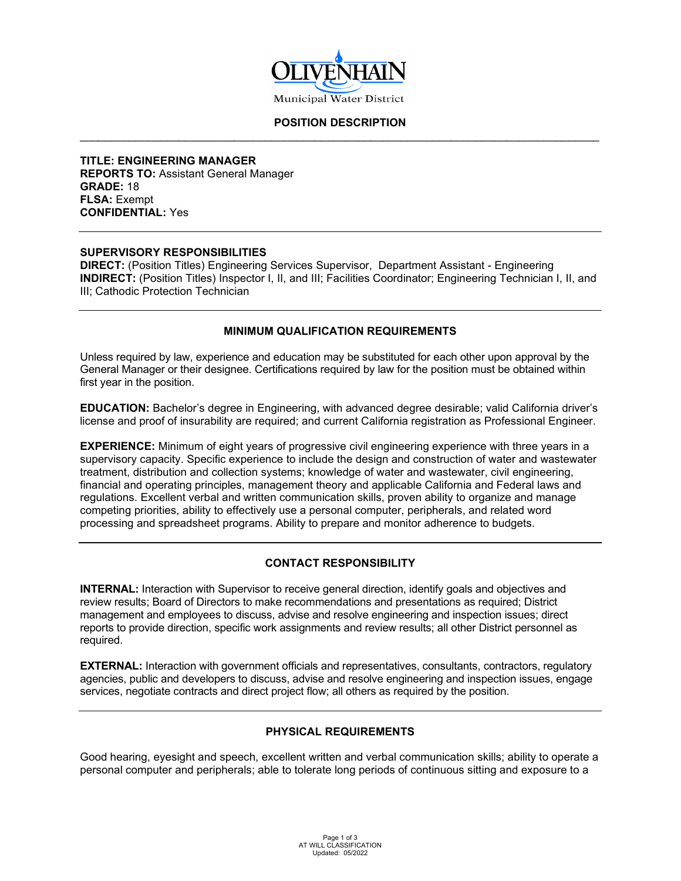

#### **POSITION DESCRIPTION** \_\_\_\_\_\_\_\_\_\_\_\_\_\_\_\_\_\_\_\_\_\_\_\_\_\_\_\_\_\_\_\_\_\_\_\_\_\_\_\_\_\_\_\_\_\_\_\_\_\_\_\_\_\_\_\_\_\_\_\_\_\_\_\_\_\_\_\_\_\_\_\_\_\_\_\_\_\_\_\_\_\_\_\_

**TITLE: ENGINEERING MANAGER REPORTS TO:** Assistant General Manager **GRADE:** 18 **FLSA:** Exempt **CONFIDENTIAL:** Yes

#### **SUPERVISORY RESPONSIBILITIES**

**DIRECT:** (Position Titles) Engineering Services Supervisor, Department Assistant - Engineering **INDIRECT:** (Position Titles) Inspector I, II, and III; Facilities Coordinator; Engineering Technician I, II, and III; Cathodic Protection Technician

## **MINIMUM QUALIFICATION REQUIREMENTS**

Unless required by law, experience and education may be substituted for each other upon approval by the General Manager or their designee. Certifications required by law for the position must be obtained within first year in the position.

**EDUCATION:** Bachelor's degree in Engineering, with advanced degree desirable; valid California driver's license and proof of insurability are required; and current California registration as Professional Engineer.

**EXPERIENCE:** Minimum of eight years of progressive civil engineering experience with three years in a supervisory capacity. Specific experience to include the design and construction of water and wastewater treatment, distribution and collection systems; knowledge of water and wastewater, civil engineering, financial and operating principles, management theory and applicable California and Federal laws and regulations. Excellent verbal and written communication skills, proven ability to organize and manage competing priorities, ability to effectively use a personal computer, peripherals, and related word processing and spreadsheet programs. Ability to prepare and monitor adherence to budgets.

## **CONTACT RESPONSIBILITY**

**INTERNAL:** Interaction with Supervisor to receive general direction, identify goals and objectives and review results; Board of Directors to make recommendations and presentations as required; District management and employees to discuss, advise and resolve engineering and inspection issues; direct reports to provide direction, specific work assignments and review results; all other District personnel as required.

**EXTERNAL:** Interaction with government officials and representatives, consultants, contractors, regulatory agencies, public and developers to discuss, advise and resolve engineering and inspection issues, engage services, negotiate contracts and direct project flow; all others as required by the position.

## **PHYSICAL REQUIREMENTS**

Good hearing, eyesight and speech, excellent written and verbal communication skills; ability to operate a personal computer and peripherals; able to tolerate long periods of continuous sitting and exposure to a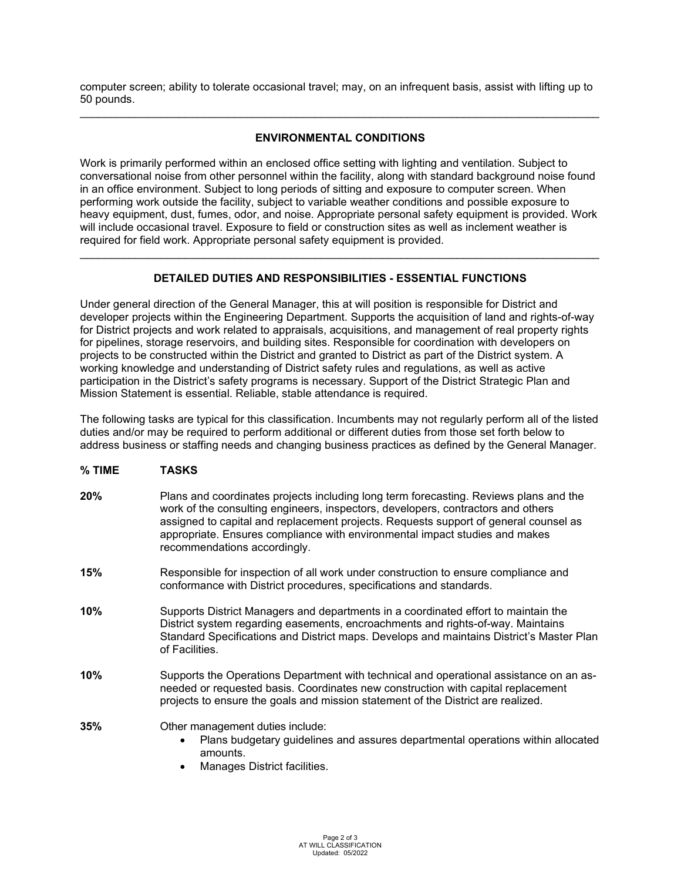computer screen; ability to tolerate occasional travel; may, on an infrequent basis, assist with lifting up to 50 pounds. \_\_\_\_\_\_\_\_\_\_\_\_\_\_\_\_\_\_\_\_\_\_\_\_\_\_\_\_\_\_\_\_\_\_\_\_\_\_\_\_\_\_\_\_\_\_\_\_\_\_\_\_\_\_\_\_\_\_\_\_\_\_\_\_\_\_\_\_\_\_\_\_\_\_\_\_\_\_\_\_\_\_\_\_

# **ENVIRONMENTAL CONDITIONS**

Work is primarily performed within an enclosed office setting with lighting and ventilation. Subject to conversational noise from other personnel within the facility, along with standard background noise found in an office environment. Subject to long periods of sitting and exposure to computer screen. When performing work outside the facility, subject to variable weather conditions and possible exposure to heavy equipment, dust, fumes, odor, and noise. Appropriate personal safety equipment is provided. Work will include occasional travel. Exposure to field or construction sites as well as inclement weather is required for field work. Appropriate personal safety equipment is provided.

## **DETAILED DUTIES AND RESPONSIBILITIES - ESSENTIAL FUNCTIONS**

\_\_\_\_\_\_\_\_\_\_\_\_\_\_\_\_\_\_\_\_\_\_\_\_\_\_\_\_\_\_\_\_\_\_\_\_\_\_\_\_\_\_\_\_\_\_\_\_\_\_\_\_\_\_\_\_\_\_\_\_\_\_\_\_\_\_\_\_\_\_\_\_\_\_\_\_\_\_\_\_\_\_\_\_

Under general direction of the General Manager, this at will position is responsible for District and developer projects within the Engineering Department. Supports the acquisition of land and rights-of-way for District projects and work related to appraisals, acquisitions, and management of real property rights for pipelines, storage reservoirs, and building sites. Responsible for coordination with developers on projects to be constructed within the District and granted to District as part of the District system. A working knowledge and understanding of District safety rules and regulations, as well as active participation in the District's safety programs is necessary. Support of the District Strategic Plan and Mission Statement is essential. Reliable, stable attendance is required.

The following tasks are typical for this classification. Incumbents may not regularly perform all of the listed duties and/or may be required to perform additional or different duties from those set forth below to address business or staffing needs and changing business practices as defined by the General Manager.

#### **% TIME TASKS**

- **20%** Plans and coordinates projects including long term forecasting. Reviews plans and the work of the consulting engineers, inspectors, developers, contractors and others assigned to capital and replacement projects. Requests support of general counsel as appropriate. Ensures compliance with environmental impact studies and makes recommendations accordingly.
- **15%** Responsible for inspection of all work under construction to ensure compliance and conformance with District procedures, specifications and standards.
- **10%** Supports District Managers and departments in a coordinated effort to maintain the District system regarding easements, encroachments and rights-of-way. Maintains Standard Specifications and District maps. Develops and maintains District's Master Plan of Facilities.
- **10%** Supports the Operations Department with technical and operational assistance on an asneeded or requested basis. Coordinates new construction with capital replacement projects to ensure the goals and mission statement of the District are realized.
- **35%** Other management duties include:
	- Plans budgetary guidelines and assures departmental operations within allocated amounts.
	- Manages District facilities.